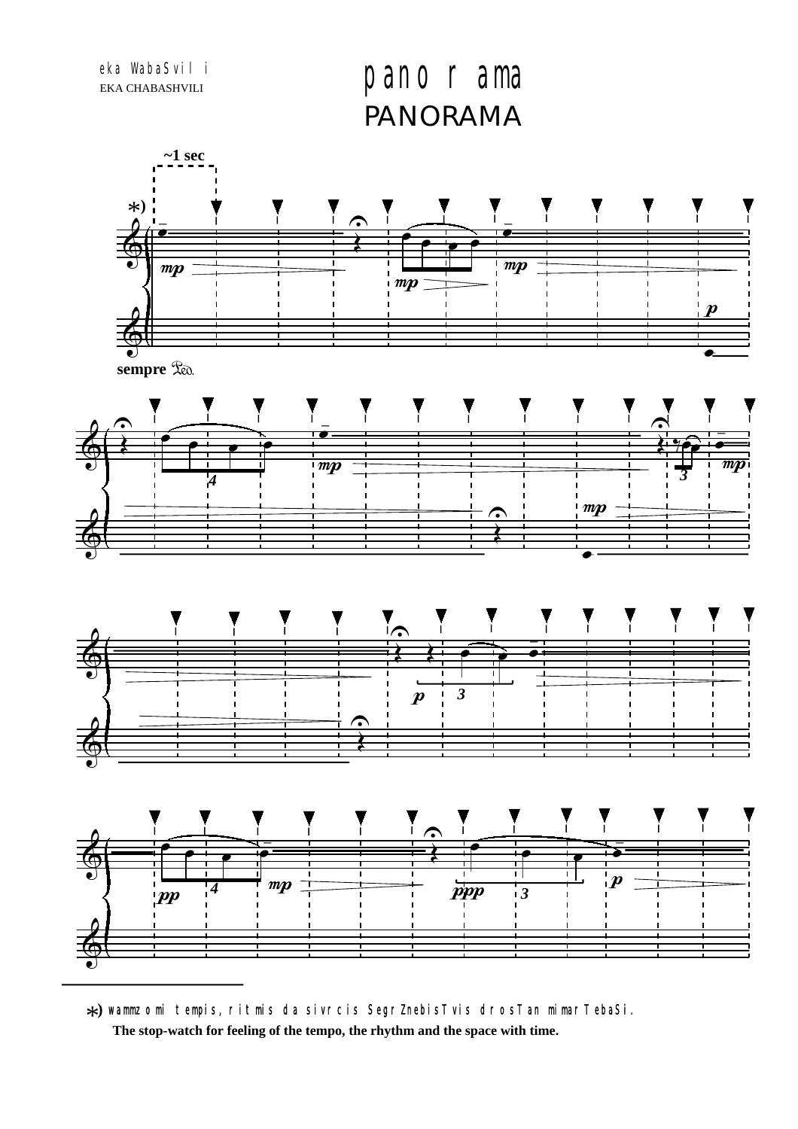EKA WADASVII I EKA CHABASHVILI





\*) wammzomi tempis, ritmis da sivrcis SegrZnebisTvis drosTan mimarTebaSi. The stop-watch for feeling of the tempo, the rhythm and the space with time.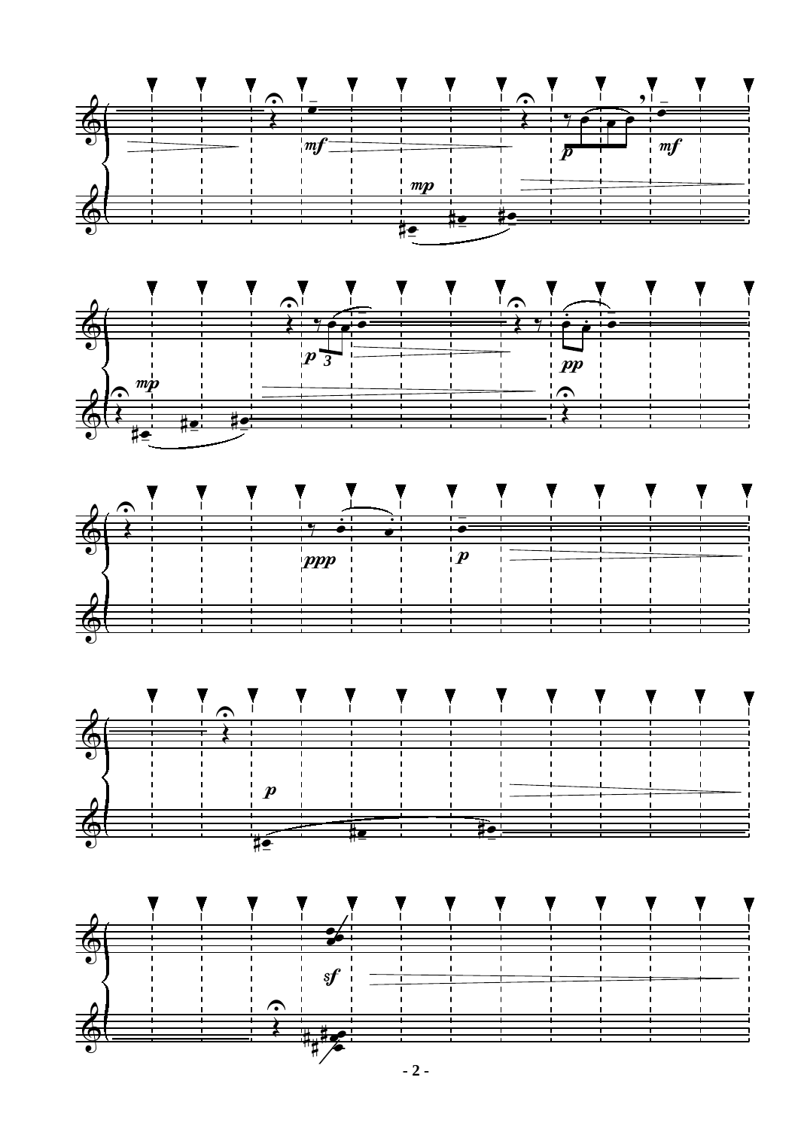







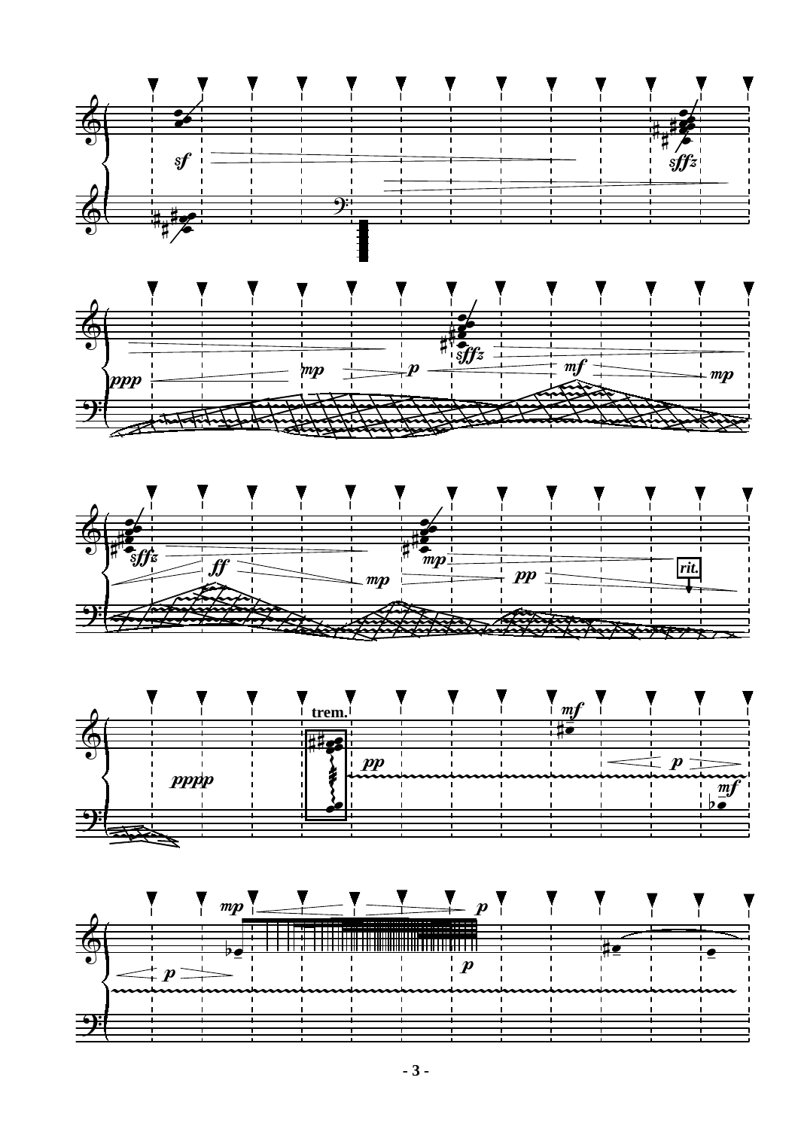







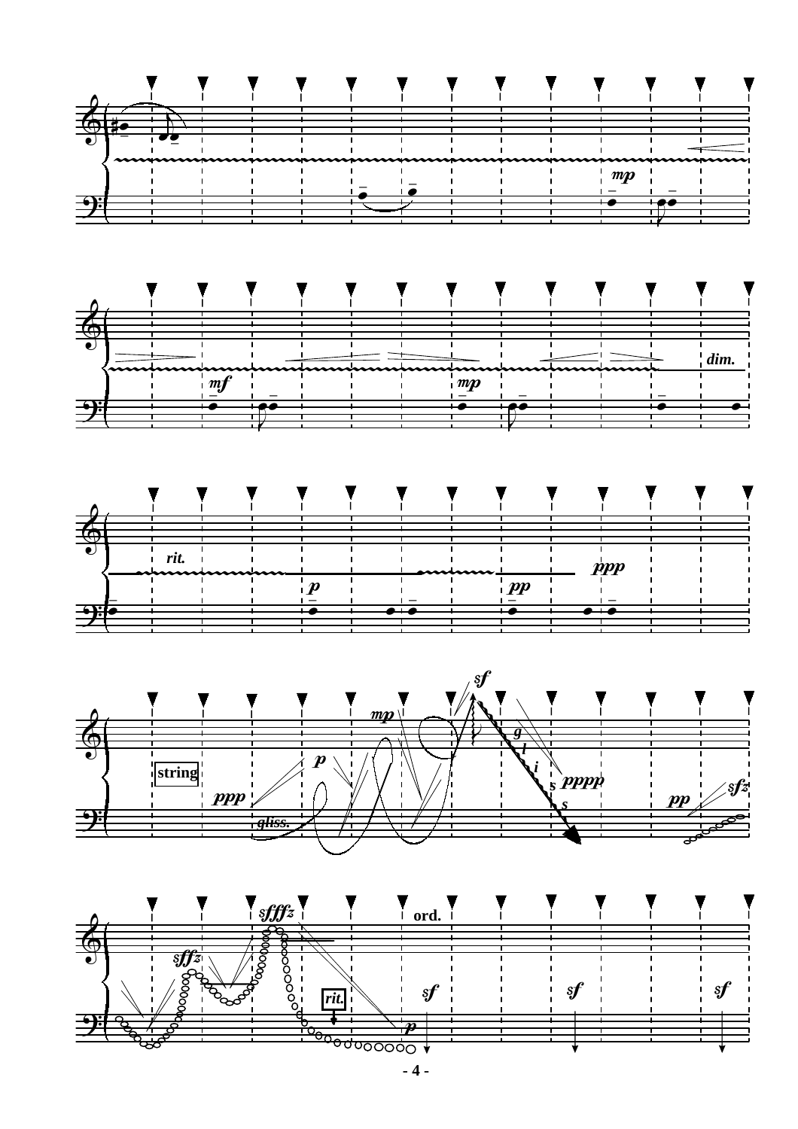







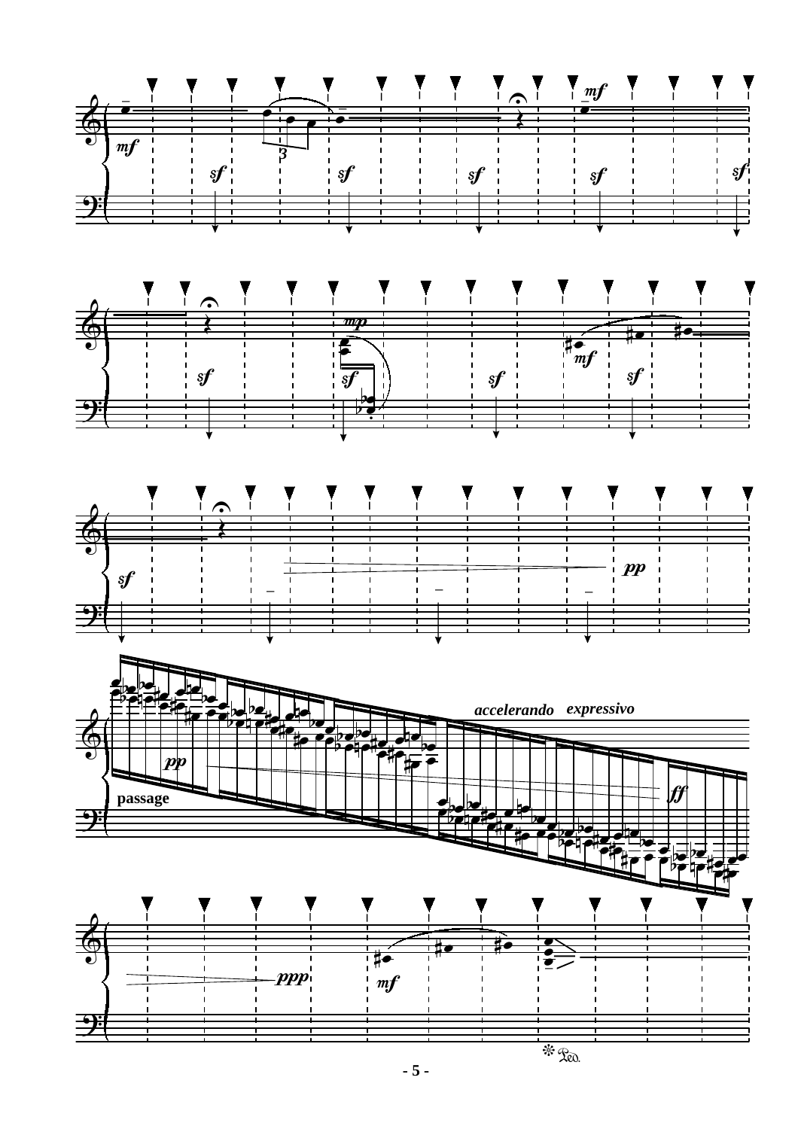